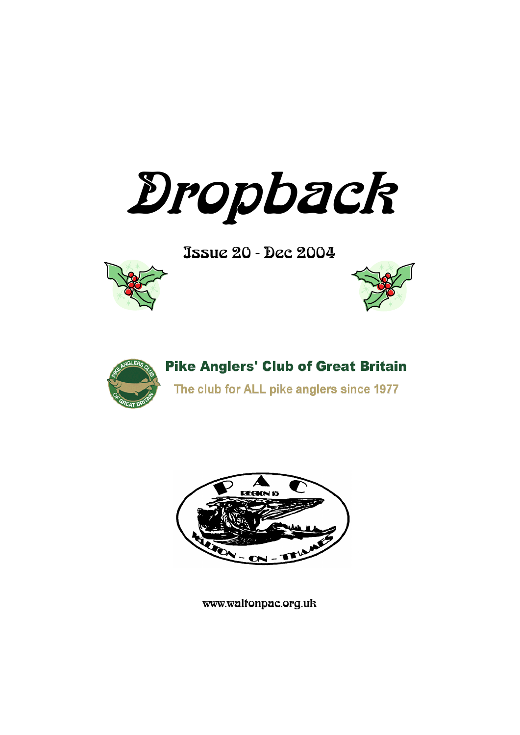Dropback

Issue 20 - Dec 2004







# **Pike Anglers' Club of Great Britain**

The club for ALL pike anglers since 1977



www.waltonpac.org.uk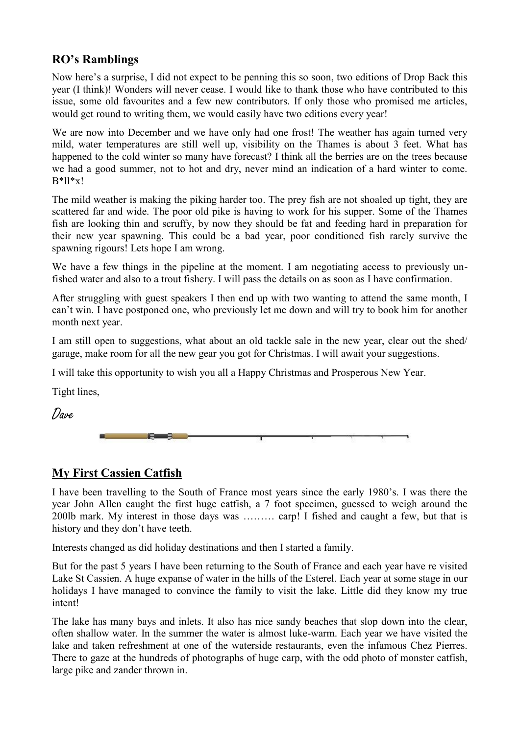## **RO's Ramblings**

Now here"s a surprise, I did not expect to be penning this so soon, two editions of Drop Back this year (I think)! Wonders will never cease. I would like to thank those who have contributed to this issue, some old favourites and a few new contributors. If only those who promised me articles, would get round to writing them, we would easily have two editions every year!

We are now into December and we have only had one frost! The weather has again turned very mild, water temperatures are still well up, visibility on the Thames is about 3 feet. What has happened to the cold winter so many have forecast? I think all the berries are on the trees because we had a good summer, not to hot and dry, never mind an indication of a hard winter to come.  $B*ll*x!$ 

The mild weather is making the piking harder too. The prey fish are not shoaled up tight, they are scattered far and wide. The poor old pike is having to work for his supper. Some of the Thames fish are looking thin and scruffy, by now they should be fat and feeding hard in preparation for their new year spawning. This could be a bad year, poor conditioned fish rarely survive the spawning rigours! Lets hope I am wrong.

We have a few things in the pipeline at the moment. I am negotiating access to previously unfished water and also to a trout fishery. I will pass the details on as soon as I have confirmation.

After struggling with guest speakers I then end up with two wanting to attend the same month, I can"t win. I have postponed one, who previously let me down and will try to book him for another month next year.

I am still open to suggestions, what about an old tackle sale in the new year, clear out the shed/ garage, make room for all the new gear you got for Christmas. I will await your suggestions.

I will take this opportunity to wish you all a Happy Christmas and Prosperous New Year.

Tight lines,

Dave

## **My First Cassien Catfish**

I have been travelling to the South of France most years since the early 1980"s. I was there the year John Allen caught the first huge catfish, a 7 foot specimen, guessed to weigh around the 200lb mark. My interest in those days was ……… carp! I fished and caught a few, but that is history and they don"t have teeth.

Interests changed as did holiday destinations and then I started a family.

But for the past 5 years I have been returning to the South of France and each year have re visited Lake St Cassien. A huge expanse of water in the hills of the Esterel. Each year at some stage in our holidays I have managed to convince the family to visit the lake. Little did they know my true intent!

The lake has many bays and inlets. It also has nice sandy beaches that slop down into the clear, often shallow water. In the summer the water is almost luke-warm. Each year we have visited the lake and taken refreshment at one of the waterside restaurants, even the infamous Chez Pierres. There to gaze at the hundreds of photographs of huge carp, with the odd photo of monster catfish, large pike and zander thrown in.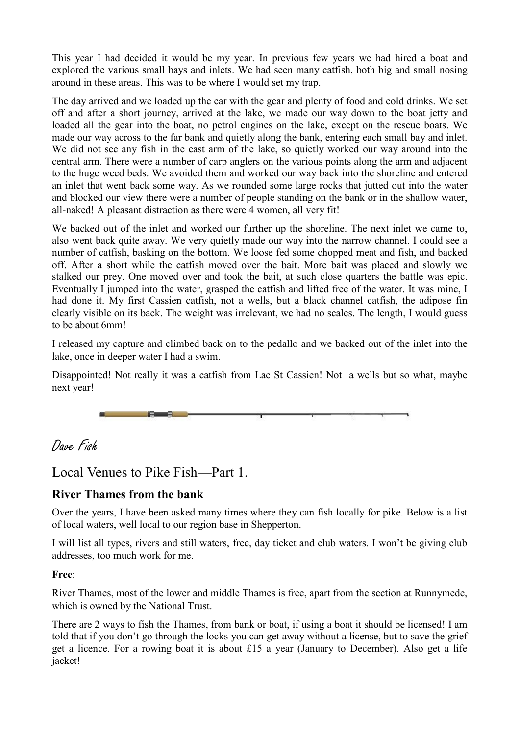This year I had decided it would be my year. In previous few years we had hired a boat and explored the various small bays and inlets. We had seen many catfish, both big and small nosing around in these areas. This was to be where I would set my trap.

The day arrived and we loaded up the car with the gear and plenty of food and cold drinks. We set off and after a short journey, arrived at the lake, we made our way down to the boat jetty and loaded all the gear into the boat, no petrol engines on the lake, except on the rescue boats. We made our way across to the far bank and quietly along the bank, entering each small bay and inlet. We did not see any fish in the east arm of the lake, so quietly worked our way around into the central arm. There were a number of carp anglers on the various points along the arm and adjacent to the huge weed beds. We avoided them and worked our way back into the shoreline and entered an inlet that went back some way. As we rounded some large rocks that jutted out into the water and blocked our view there were a number of people standing on the bank or in the shallow water, all-naked! A pleasant distraction as there were 4 women, all very fit!

We backed out of the inlet and worked our further up the shoreline. The next inlet we came to, also went back quite away. We very quietly made our way into the narrow channel. I could see a number of catfish, basking on the bottom. We loose fed some chopped meat and fish, and backed off. After a short while the catfish moved over the bait. More bait was placed and slowly we stalked our prey. One moved over and took the bait, at such close quarters the battle was epic. Eventually I jumped into the water, grasped the catfish and lifted free of the water. It was mine, I had done it. My first Cassien catfish, not a wells, but a black channel catfish, the adipose fin clearly visible on its back. The weight was irrelevant, we had no scales. The length, I would guess to be about 6mm!

I released my capture and climbed back on to the pedallo and we backed out of the inlet into the lake, once in deeper water I had a swim.

Disappointed! Not really it was a catfish from Lac St Cassien! Not a wells but so what, maybe next year!



## Dave Fish

## Local Venues to Pike Fish—Part 1.

## **River Thames from the bank**

Over the years, I have been asked many times where they can fish locally for pike. Below is a list of local waters, well local to our region base in Shepperton.

I will list all types, rivers and still waters, free, day ticket and club waters. I won"t be giving club addresses, too much work for me.

#### **Free**:

River Thames, most of the lower and middle Thames is free, apart from the section at Runnymede, which is owned by the National Trust.

There are 2 ways to fish the Thames, from bank or boat, if using a boat it should be licensed! I am told that if you don"t go through the locks you can get away without a license, but to save the grief get a licence. For a rowing boat it is about £15 a year (January to December). Also get a life jacket!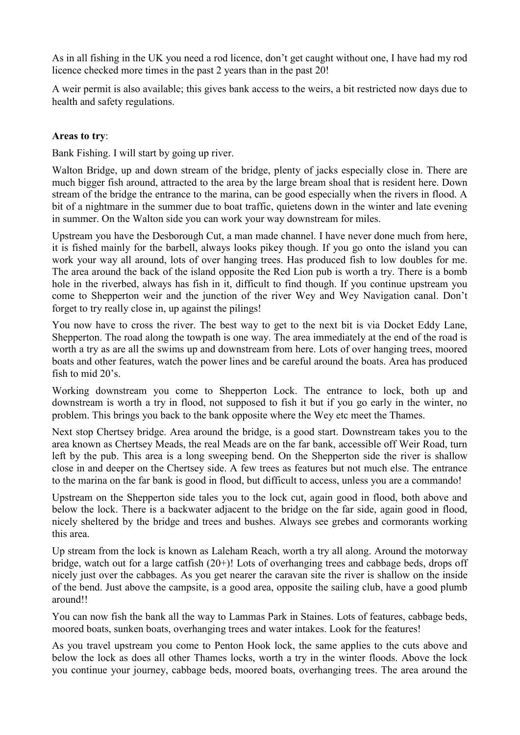As in all fishing in the UK you need a rod licence, don't get caught without one, I have had my rod licence checked more times in the past 2 years than in the past 20!

A weir permit is also available; this gives bank access to the weirs, a bit restricted now days due to health and safety regulations.

#### **Areas to try**:

Bank Fishing. I will start by going up river.

Walton Bridge, up and down stream of the bridge, plenty of jacks especially close in. There are much bigger fish around, attracted to the area by the large bream shoal that is resident here. Down stream of the bridge the entrance to the marina, can be good especially when the rivers in flood. A bit of a nightmare in the summer due to boat traffic, quietens down in the winter and late evening in summer. On the Walton side you can work your way downstream for miles.

Upstream you have the Desborough Cut, a man made channel. I have never done much from here, it is fished mainly for the barbell, always looks pikey though. If you go onto the island you can work your way all around, lots of over hanging trees. Has produced fish to low doubles for me. The area around the back of the island opposite the Red Lion pub is worth a try. There is a bomb hole in the riverbed, always has fish in it, difficult to find though. If you continue upstream you come to Shepperton weir and the junction of the river Wey and Wey Navigation canal. Don"t forget to try really close in, up against the pilings!

You now have to cross the river. The best way to get to the next bit is via Docket Eddy Lane, Shepperton. The road along the towpath is one way. The area immediately at the end of the road is worth a try as are all the swims up and downstream from here. Lots of over hanging trees, moored boats and other features, watch the power lines and be careful around the boats. Area has produced fish to mid 20's.

Working downstream you come to Shepperton Lock. The entrance to lock, both up and downstream is worth a try in flood, not supposed to fish it but if you go early in the winter, no problem. This brings you back to the bank opposite where the Wey etc meet the Thames.

Next stop Chertsey bridge. Area around the bridge, is a good start. Downstream takes you to the area known as Chertsey Meads, the real Meads are on the far bank, accessible off Weir Road, turn left by the pub. This area is a long sweeping bend. On the Shepperton side the river is shallow close in and deeper on the Chertsey side. A few trees as features but not much else. The entrance to the marina on the far bank is good in flood, but difficult to access, unless you are a commando!

Upstream on the Shepperton side tales you to the lock cut, again good in flood, both above and below the lock. There is a backwater adjacent to the bridge on the far side, again good in flood, nicely sheltered by the bridge and trees and bushes. Always see grebes and cormorants working this area.

Up stream from the lock is known as Laleham Reach, worth a try all along. Around the motorway bridge, watch out for a large catfish (20+)! Lots of overhanging trees and cabbage beds, drops off nicely just over the cabbages. As you get nearer the caravan site the river is shallow on the inside of the bend. Just above the campsite, is a good area, opposite the sailing club, have a good plumb around!!

You can now fish the bank all the way to Lammas Park in Staines. Lots of features, cabbage beds, moored boats, sunken boats, overhanging trees and water intakes. Look for the features!

As you travel upstream you come to Penton Hook lock, the same applies to the cuts above and below the lock as does all other Thames locks, worth a try in the winter floods. Above the lock you continue your journey, cabbage beds, moored boats, overhanging trees. The area around the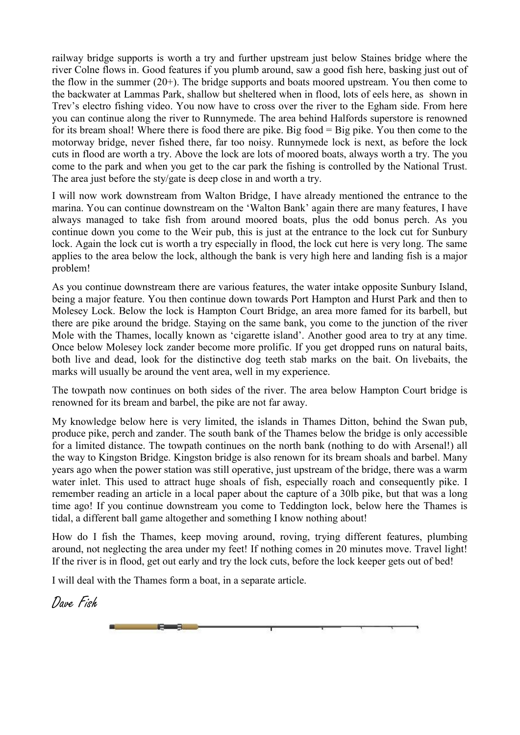railway bridge supports is worth a try and further upstream just below Staines bridge where the river Colne flows in. Good features if you plumb around, saw a good fish here, basking just out of the flow in the summer (20+). The bridge supports and boats moored upstream. You then come to the backwater at Lammas Park, shallow but sheltered when in flood, lots of eels here, as shown in Trev's electro fishing video. You now have to cross over the river to the Egham side. From here you can continue along the river to Runnymede. The area behind Halfords superstore is renowned for its bream shoal! Where there is food there are pike. Big food = Big pike. You then come to the motorway bridge, never fished there, far too noisy. Runnymede lock is next, as before the lock cuts in flood are worth a try. Above the lock are lots of moored boats, always worth a try. The you come to the park and when you get to the car park the fishing is controlled by the National Trust. The area just before the sty/gate is deep close in and worth a try.

I will now work downstream from Walton Bridge, I have already mentioned the entrance to the marina. You can continue downstream on the "Walton Bank" again there are many features, I have always managed to take fish from around moored boats, plus the odd bonus perch. As you continue down you come to the Weir pub, this is just at the entrance to the lock cut for Sunbury lock. Again the lock cut is worth a try especially in flood, the lock cut here is very long. The same applies to the area below the lock, although the bank is very high here and landing fish is a major problem!

As you continue downstream there are various features, the water intake opposite Sunbury Island, being a major feature. You then continue down towards Port Hampton and Hurst Park and then to Molesey Lock. Below the lock is Hampton Court Bridge, an area more famed for its barbell, but there are pike around the bridge. Staying on the same bank, you come to the junction of the river Mole with the Thames, locally known as "cigarette island". Another good area to try at any time. Once below Molesey lock zander become more prolific. If you get dropped runs on natural baits, both live and dead, look for the distinctive dog teeth stab marks on the bait. On livebaits, the marks will usually be around the vent area, well in my experience.

The towpath now continues on both sides of the river. The area below Hampton Court bridge is renowned for its bream and barbel, the pike are not far away.

My knowledge below here is very limited, the islands in Thames Ditton, behind the Swan pub, produce pike, perch and zander. The south bank of the Thames below the bridge is only accessible for a limited distance. The towpath continues on the north bank (nothing to do with Arsenal!) all the way to Kingston Bridge. Kingston bridge is also renown for its bream shoals and barbel. Many years ago when the power station was still operative, just upstream of the bridge, there was a warm water inlet. This used to attract huge shoals of fish, especially roach and consequently pike. I remember reading an article in a local paper about the capture of a 30lb pike, but that was a long time ago! If you continue downstream you come to Teddington lock, below here the Thames is tidal, a different ball game altogether and something I know nothing about!

How do I fish the Thames, keep moving around, roving, trying different features, plumbing around, not neglecting the area under my feet! If nothing comes in 20 minutes move. Travel light! If the river is in flood, get out early and try the lock cuts, before the lock keeper gets out of bed!

I will deal with the Thames form a boat, in a separate article.

and the state of the state of the

Dave Fish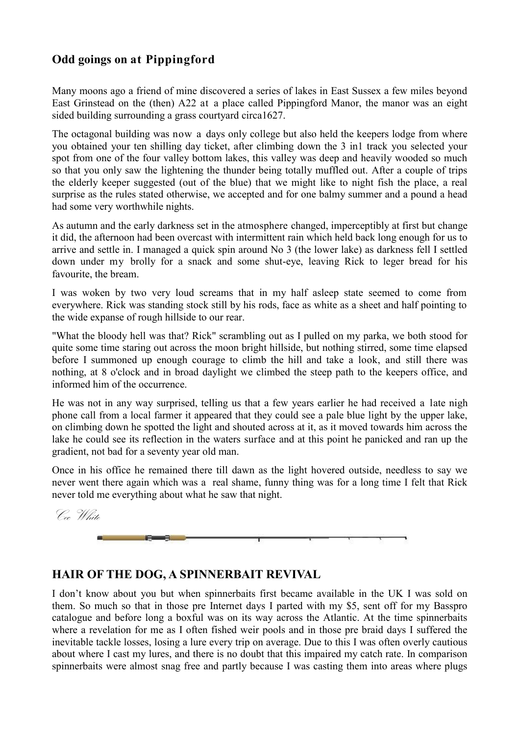## **Odd goings on at Pippingford**

Many moons ago a friend of mine discovered a series of lakes in East Sussex a few miles beyond East Grinstead on the (then) A22 at a place called Pippingford Manor, the manor was an eight sided building surrounding a grass courtyard circa1627.

The octagonal building was now a days only college but also held the keepers lodge from where you obtained your ten shilling day ticket, after climbing down the 3 in1 track you selected your spot from one of the four valley bottom lakes, this valley was deep and heavily wooded so much so that you only saw the lightening the thunder being totally muffled out. After a couple of trips the elderly keeper suggested (out of the blue) that we might like to night fish the place, a real surprise as the rules stated otherwise, we accepted and for one balmy summer and a pound a head had some very worthwhile nights.

As autumn and the early darkness set in the atmosphere changed, imperceptibly at first but change it did, the afternoon had been overcast with intermittent rain which held back long enough for us to arrive and settle in. I managed a quick spin around No 3 (the lower lake) as darkness fell I settled down under my brolly for a snack and some shut-eye, leaving Rick to leger bread for his favourite, the bream.

I was woken by two very loud screams that in my half asleep state seemed to come from everywhere. Rick was standing stock still by his rods, face as white as a sheet and half pointing to the wide expanse of rough hillside to our rear.

"What the bloody hell was that? Rick" scrambling out as I pulled on my parka, we both stood for quite some time staring out across the moon bright hillside, but nothing stirred, some time elapsed before I summoned up enough courage to climb the hill and take a look, and still there was nothing, at 8 o'clock and in broad daylight we climbed the steep path to the keepers office, and informed him of the occurrence.

He was not in any way surprised, telling us that a few years earlier he had received a late nigh phone call from a local farmer it appeared that they could see a pale blue light by the upper lake, on climbing down he spotted the light and shouted across at it, as it moved towards him across the lake he could see its reflection in the waters surface and at this point he panicked and ran up the gradient, not bad for a seventy year old man.

Once in his office he remained there till dawn as the light hovered outside, needless to say we never went there again which was a real shame, funny thing was for a long time I felt that Rick never told me everything about what he saw that night.

Cec White



## **HAIR OF THE DOG, A SPINNERBAIT REVIVAL**

I don"t know about you but when spinnerbaits first became available in the UK I was sold on them. So much so that in those pre Internet days I parted with my \$5, sent off for my Basspro catalogue and before long a boxful was on its way across the Atlantic. At the time spinnerbaits where a revelation for me as I often fished weir pools and in those pre braid days I suffered the inevitable tackle losses, losing a lure every trip on average. Due to this I was often overly cautious about where I cast my lures, and there is no doubt that this impaired my catch rate. In comparison spinnerbaits were almost snag free and partly because I was casting them into areas where plugs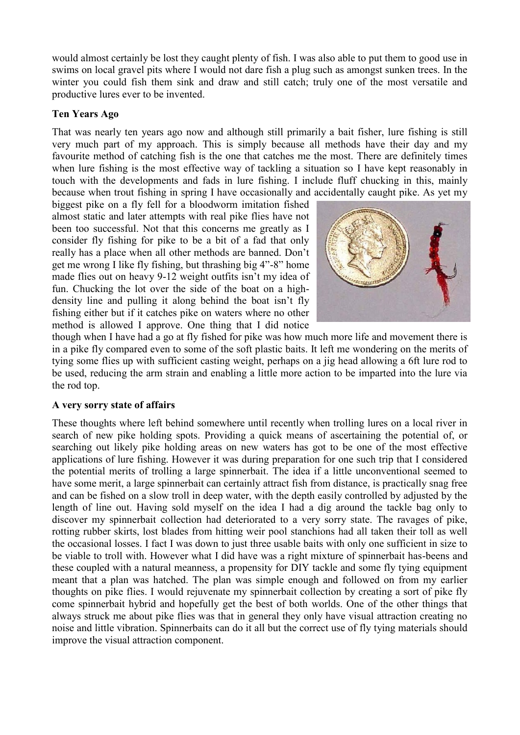would almost certainly be lost they caught plenty of fish. I was also able to put them to good use in swims on local gravel pits where I would not dare fish a plug such as amongst sunken trees. In the winter you could fish them sink and draw and still catch; truly one of the most versatile and productive lures ever to be invented.

#### **Ten Years Ago**

That was nearly ten years ago now and although still primarily a bait fisher, lure fishing is still very much part of my approach. This is simply because all methods have their day and my favourite method of catching fish is the one that catches me the most. There are definitely times when lure fishing is the most effective way of tackling a situation so I have kept reasonably in touch with the developments and fads in lure fishing. I include fluff chucking in this, mainly because when trout fishing in spring I have occasionally and accidentally caught pike. As yet my

biggest pike on a fly fell for a bloodworm imitation fished almost static and later attempts with real pike flies have not been too successful. Not that this concerns me greatly as I consider fly fishing for pike to be a bit of a fad that only really has a place when all other methods are banned. Don"t get me wrong I like fly fishing, but thrashing big 4"-8" home made flies out on heavy 9-12 weight outfits isn't my idea of fun. Chucking the lot over the side of the boat on a highdensity line and pulling it along behind the boat isn"t fly fishing either but if it catches pike on waters where no other method is allowed I approve. One thing that I did notice



though when I have had a go at fly fished for pike was how much more life and movement there is in a pike fly compared even to some of the soft plastic baits. It left me wondering on the merits of tying some flies up with sufficient casting weight, perhaps on a jig head allowing a 6ft lure rod to be used, reducing the arm strain and enabling a little more action to be imparted into the lure via the rod top.

#### **A very sorry state of affairs**

These thoughts where left behind somewhere until recently when trolling lures on a local river in search of new pike holding spots. Providing a quick means of ascertaining the potential of, or searching out likely pike holding areas on new waters has got to be one of the most effective applications of lure fishing. However it was during preparation for one such trip that I considered the potential merits of trolling a large spinnerbait. The idea if a little unconventional seemed to have some merit, a large spinnerbait can certainly attract fish from distance, is practically snag free and can be fished on a slow troll in deep water, with the depth easily controlled by adjusted by the length of line out. Having sold myself on the idea I had a dig around the tackle bag only to discover my spinnerbait collection had deteriorated to a very sorry state. The ravages of pike, rotting rubber skirts, lost blades from hitting weir pool stanchions had all taken their toll as well the occasional losses. I fact I was down to just three usable baits with only one sufficient in size to be viable to troll with. However what I did have was a right mixture of spinnerbait has-beens and these coupled with a natural meanness, a propensity for DIY tackle and some fly tying equipment meant that a plan was hatched. The plan was simple enough and followed on from my earlier thoughts on pike flies. I would rejuvenate my spinnerbait collection by creating a sort of pike fly come spinnerbait hybrid and hopefully get the best of both worlds. One of the other things that always struck me about pike flies was that in general they only have visual attraction creating no noise and little vibration. Spinnerbaits can do it all but the correct use of fly tying materials should improve the visual attraction component.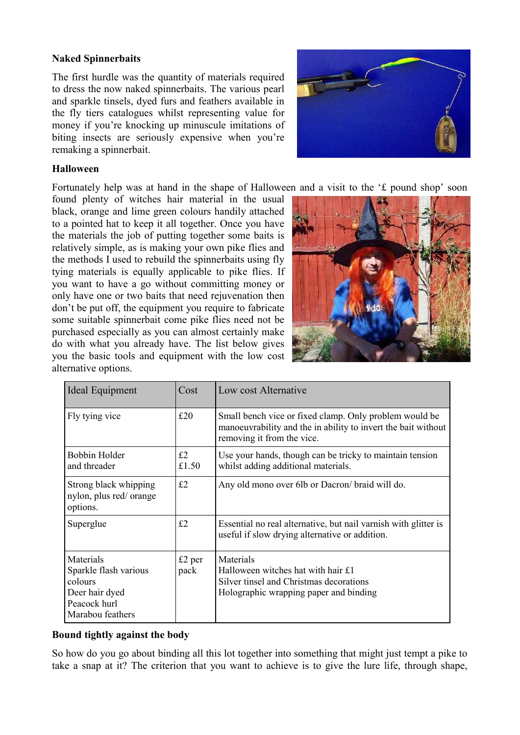#### **Naked Spinnerbaits**

The first hurdle was the quantity of materials required to dress the now naked spinnerbaits. The various pearl and sparkle tinsels, dyed furs and feathers available in the fly tiers catalogues whilst representing value for money if you"re knocking up minuscule imitations of biting insects are seriously expensive when you're remaking a spinnerbait.



#### **Halloween**

Fortunately help was at hand in the shape of Halloween and a visit to the "£ pound shop" soon

found plenty of witches hair material in the usual black, orange and lime green colours handily attached to a pointed hat to keep it all together. Once you have the materials the job of putting together some baits is relatively simple, as is making your own pike flies and the methods I used to rebuild the spinnerbaits using fly tying materials is equally applicable to pike flies. If you want to have a go without committing money or only have one or two baits that need rejuvenation then don"t be put off, the equipment you require to fabricate some suitable spinnerbait come pike flies need not be purchased especially as you can almost certainly make do with what you already have. The list below gives you the basic tools and equipment with the low cost alternative options.



| Ideal Equipment                                                                                     | Cost             | Low cost Alternative                                                                                                                                  |
|-----------------------------------------------------------------------------------------------------|------------------|-------------------------------------------------------------------------------------------------------------------------------------------------------|
| Fly tying vice                                                                                      | £20              | Small bench vice or fixed clamp. Only problem would be<br>manoeuvrability and the in ability to invert the bait without<br>removing it from the vice. |
| Bobbin Holder<br>and threader                                                                       | £2<br>£1.50      | Use your hands, though can be tricky to maintain tension<br>whilst adding additional materials.                                                       |
| Strong black whipping<br>nylon, plus red/orange<br>options.                                         | £2               | Any old mono over 6lb or Dacron/ braid will do.                                                                                                       |
| Superglue                                                                                           | £2               | Essential no real alternative, but nail varnish with glitter is<br>useful if slow drying alternative or addition.                                     |
| Materials<br>Sparkle flash various<br>colours<br>Deer hair dyed<br>Peacock hurl<br>Marabou feathers | $£2$ per<br>pack | Materials<br>Halloween witches hat with hair £1<br>Silver tinsel and Christmas decorations<br>Holographic wrapping paper and binding                  |

#### **Bound tightly against the body**

So how do you go about binding all this lot together into something that might just tempt a pike to take a snap at it? The criterion that you want to achieve is to give the lure life, through shape,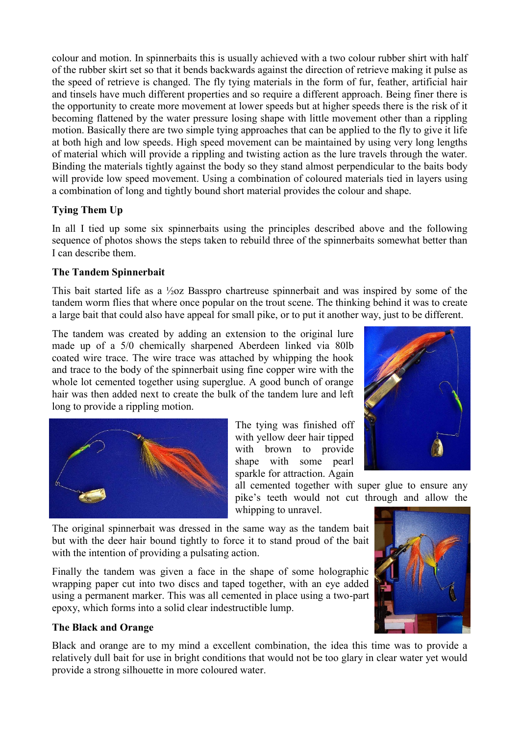colour and motion. In spinnerbaits this is usually achieved with a two colour rubber shirt with half of the rubber skirt set so that it bends backwards against the direction of retrieve making it pulse as the speed of retrieve is changed. The fly tying materials in the form of fur, feather, artificial hair and tinsels have much different properties and so require a different approach. Being finer there is the opportunity to create more movement at lower speeds but at higher speeds there is the risk of it becoming flattened by the water pressure losing shape with little movement other than a rippling motion. Basically there are two simple tying approaches that can be applied to the fly to give it life at both high and low speeds. High speed movement can be maintained by using very long lengths of material which will provide a rippling and twisting action as the lure travels through the water. Binding the materials tightly against the body so they stand almost perpendicular to the baits body will provide low speed movement. Using a combination of coloured materials tied in layers using a combination of long and tightly bound short material provides the colour and shape.

## **Tying Them Up**

In all I tied up some six spinnerbaits using the principles described above and the following sequence of photos shows the steps taken to rebuild three of the spinnerbaits somewhat better than I can describe them.

## **The Tandem Spinnerbait**

This bait started life as a ½oz Basspro chartreuse spinnerbait and was inspired by some of the tandem worm flies that where once popular on the trout scene. The thinking behind it was to create a large bait that could also have appeal for small pike, or to put it another way, just to be different.

The tandem was created by adding an extension to the original lure made up of a 5/0 chemically sharpened Aberdeen linked via 80lb coated wire trace. The wire trace was attached by whipping the hook and trace to the body of the spinnerbait using fine copper wire with the whole lot cemented together using superglue. A good bunch of orange hair was then added next to create the bulk of the tandem lure and left long to provide a rippling motion.



The tying was finished off with yellow deer hair tipped with brown to provide shape with some pearl sparkle for attraction. Again



all cemented together with super glue to ensure any pike"s teeth would not cut through and allow the whipping to unravel.

The original spinnerbait was dressed in the same way as the tandem bait but with the deer hair bound tightly to force it to stand proud of the bait with the intention of providing a pulsating action.

Finally the tandem was given a face in the shape of some holographic wrapping paper cut into two discs and taped together, with an eye added using a permanent marker. This was all cemented in place using a two-part epoxy, which forms into a solid clear indestructible lump.

## **The Black and Orange**

Black and orange are to my mind a excellent combination, the idea this time was to provide a relatively dull bait for use in bright conditions that would not be too glary in clear water yet would provide a strong silhouette in more coloured water.

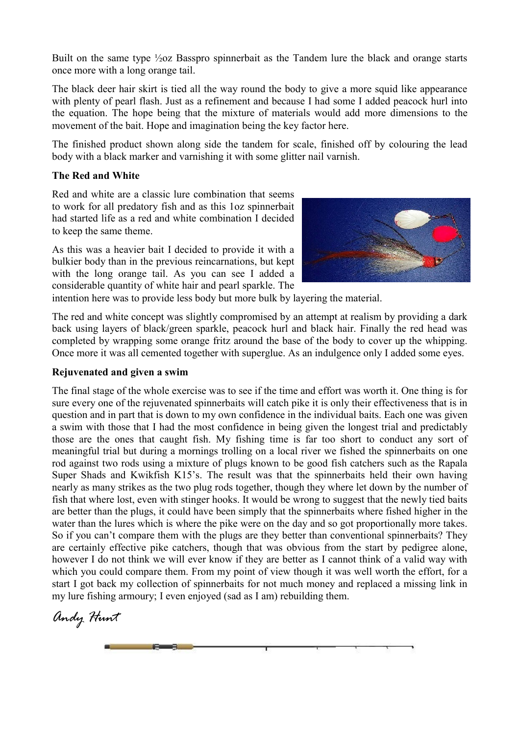Built on the same type ½oz Basspro spinnerbait as the Tandem lure the black and orange starts once more with a long orange tail.

The black deer hair skirt is tied all the way round the body to give a more squid like appearance with plenty of pearl flash. Just as a refinement and because I had some I added peacock hurl into the equation. The hope being that the mixture of materials would add more dimensions to the movement of the bait. Hope and imagination being the key factor here.

The finished product shown along side the tandem for scale, finished off by colouring the lead body with a black marker and varnishing it with some glitter nail varnish.

#### **The Red and White**

Red and white are a classic lure combination that seems to work for all predatory fish and as this 1oz spinnerbait had started life as a red and white combination I decided to keep the same theme.

As this was a heavier bait I decided to provide it with a bulkier body than in the previous reincarnations, but kept with the long orange tail. As you can see I added a considerable quantity of white hair and pearl sparkle. The



intention here was to provide less body but more bulk by layering the material.

The red and white concept was slightly compromised by an attempt at realism by providing a dark back using layers of black/green sparkle, peacock hurl and black hair. Finally the red head was completed by wrapping some orange fritz around the base of the body to cover up the whipping. Once more it was all cemented together with superglue. As an indulgence only I added some eyes.

#### **Rejuvenated and given a swim**

The final stage of the whole exercise was to see if the time and effort was worth it. One thing is for sure every one of the rejuvenated spinnerbaits will catch pike it is only their effectiveness that is in question and in part that is down to my own confidence in the individual baits. Each one was given a swim with those that I had the most confidence in being given the longest trial and predictably those are the ones that caught fish. My fishing time is far too short to conduct any sort of meaningful trial but during a mornings trolling on a local river we fished the spinnerbaits on one rod against two rods using a mixture of plugs known to be good fish catchers such as the Rapala Super Shads and Kwikfish K15"s. The result was that the spinnerbaits held their own having nearly as many strikes as the two plug rods together, though they where let down by the number of fish that where lost, even with stinger hooks. It would be wrong to suggest that the newly tied baits are better than the plugs, it could have been simply that the spinnerbaits where fished higher in the water than the lures which is where the pike were on the day and so got proportionally more takes. So if you can't compare them with the plugs are they better than conventional spinnerbaits? They are certainly effective pike catchers, though that was obvious from the start by pedigree alone, however I do not think we will ever know if they are better as I cannot think of a valid way with which you could compare them. From my point of view though it was well worth the effort, for a start I got back my collection of spinnerbaits for not much money and replaced a missing link in my lure fishing armoury; I even enjoyed (sad as I am) rebuilding them.

*Andy Hunt*

**F**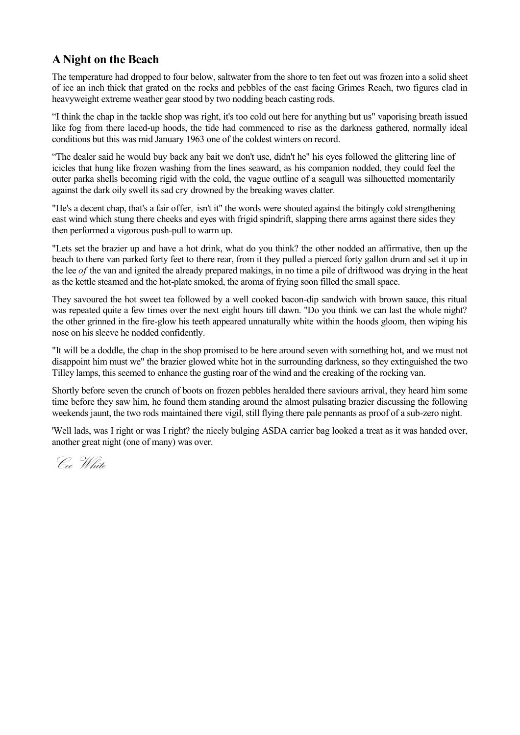## **A Night on the Beach**

The temperature had dropped to four below, saltwater from the shore to ten feet out was frozen into a solid sheet of ice an inch thick that grated on the rocks and pebbles of the east facing Grimes Reach, two figures clad in heavyweight extreme weather gear stood by two nodding beach casting rods.

"I think the chap in the tackle shop was right, it's too cold out here for anything but us" vaporising breath issued like fog from there laced-up hoods, the tide had commenced to rise as the darkness gathered, normally ideal conditions but this was mid January 1963 one of the coldest winters on record.

"The dealer said he would buy back any bait we don't use, didn't he" his eyes followed the glittering line of icicles that hung like frozen washing from the lines seaward, as his companion nodded, they could feel the outer parka shells becoming rigid with the cold, the vague outline of a seagull was silhouetted momentarily against the dark oily swell its sad cry drowned by the breaking waves clatter.

"He's a decent chap, that's a fair offer*,* isn't it" the words were shouted against the bitingly cold strengthening east wind which stung there cheeks and eyes with frigid spindrift, slapping there arms against there sides they then performed a vigorous push-pull to warm up.

"Lets set the brazier up and have a hot drink, what do you think? the other nodded an affirmative, then up the beach to there van parked forty feet to there rear, from it they pulled a pierced forty gallon drum and set it up in the lee *of* the van and ignited the already prepared makings, in no time a pile of driftwood was drying in the heat as the kettle steamed and the hot-plate smoked, the aroma of frying soon filled the small space.

They savoured the hot sweet tea followed by a well cooked bacon-dip sandwich with brown sauce, this ritual was repeated quite a few times over the next eight hours till dawn. "Do you think we can last the whole night? the other grinned in the fire-glow his teeth appeared unnaturally white within the hoods gloom, then wiping his nose on his sleeve he nodded confidently.

"It will be a doddle, the chap in the shop promised to be here around seven with something hot, and we must not disappoint him must we" the brazier glowed white hot in the surrounding darkness, so they extinguished the two Tilley lamps, this seemed to enhance the gusting roar of the wind and the creaking of the rocking van.

Shortly before seven the crunch of boots on frozen pebbles heralded there saviours arrival, they heard him some time before they saw him, he found them standing around the almost pulsating brazier discussing the following weekends jaunt, the two rods maintained there vigil, still flying there pale pennants as proof of a sub-zero night.

'Well lads, was I right or was I right? the nicely bulging ASDA carrier bag looked a treat as it was handed over, another great night (one of many) was over.